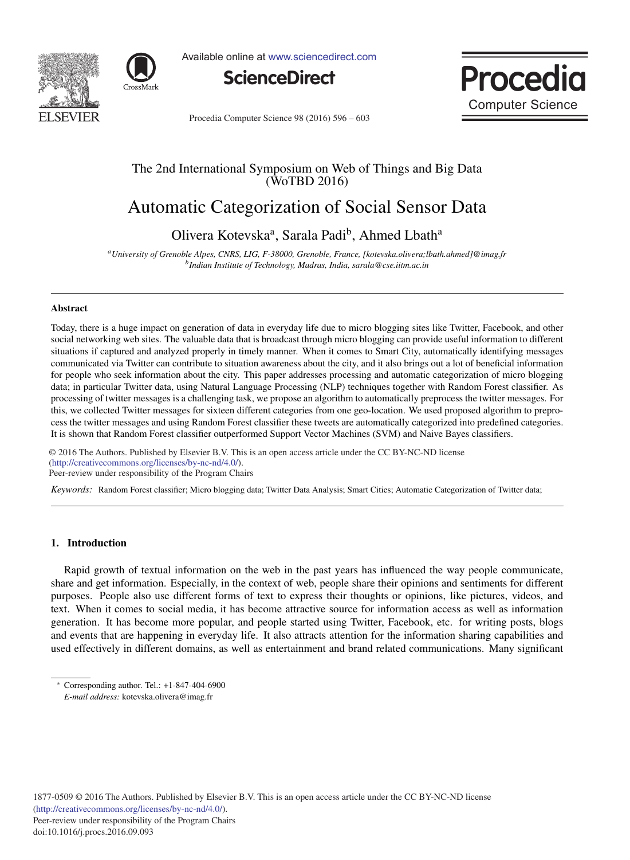



Available online at www.sciencedirect.com





Procedia Computer Science 98 (2016) 596 - 603

# The 2nd International Symposium on Web of Things and Big Data (WoTBD 2016)

# Automatic Categorization of Social Sensor Data

Olivera Kotevska<sup>a</sup>, Sarala Padi<sup>b</sup>, Ahmed Lbath<sup>a</sup>

*aUniversity of Grenoble Alpes, CNRS, LIG, F-38000, Grenoble, France, [kotevska.olivera;lbath.ahmed]@imag.fr bIndian Institute of Technology, Madras, India, sarala@cse.iitm.ac.in*

#### Abstract

Today, there is a huge impact on generation of data in everyday life due to micro blogging sites like Twitter, Facebook, and other social networking web sites. The valuable data that is broadcast through micro blogging can provide useful information to different situations if captured and analyzed properly in timely manner. When it comes to Smart City, automatically identifying messages communicated via Twitter can contribute to situation awareness about the city, and it also brings out a lot of beneficial information for people who seek information about the city. This paper addresses processing and automatic categorization of micro blogging data; in particular Twitter data, using Natural Language Processing (NLP) techniques together with Random Forest classifier. As processing of twitter messages is a challenging task, we propose an algorithm to automatically preprocess the twitter messages. For this, we collected Twitter messages for sixteen different categories from one geo-location. We used proposed algorithm to preprocess the twitter messages and using Random Forest classifier these tweets are automatically categorized into predefined categories. It is shown that Random Forest classifier outperformed Support Vector Machines (SVM) and Naive Bayes classifiers.

-c 2016 The Authors. Published by Elsevier B.V. (http://creativecommons.org/licenses/by-nc-nd/4.0/).  $Per-review$  under responsibility of the Program Chairs. © 2016 The Authors. Published by Elsevier B.V. This is an open access article under the CC BY-NC-ND license

*Keywords:* Random Forest classifier; Micro blogging data; Twitter Data Analysis; Smart Cities; Automatic Categorization of Twitter data;

# 1. Introduction

Rapid growth of textual information on the web in the past years has influenced the way people communicate, share and get information. Especially, in the context of web, people share their opinions and sentiments for different purposes. People also use different forms of text to express their thoughts or opinions, like pictures, videos, and text. When it comes to social media, it has become attractive source for information access as well as information generation. It has become more popular, and people started using Twitter, Facebook, etc. for writing posts, blogs and events that are happening in everyday life. It also attracts attention for the information sharing capabilities and used effectively in different domains, as well as entertainment and brand related communications. Many significant

Corresponding author. Tel.:  $+1-847-404-6900$ *E-mail address:* kotevska.olivera@imag.fr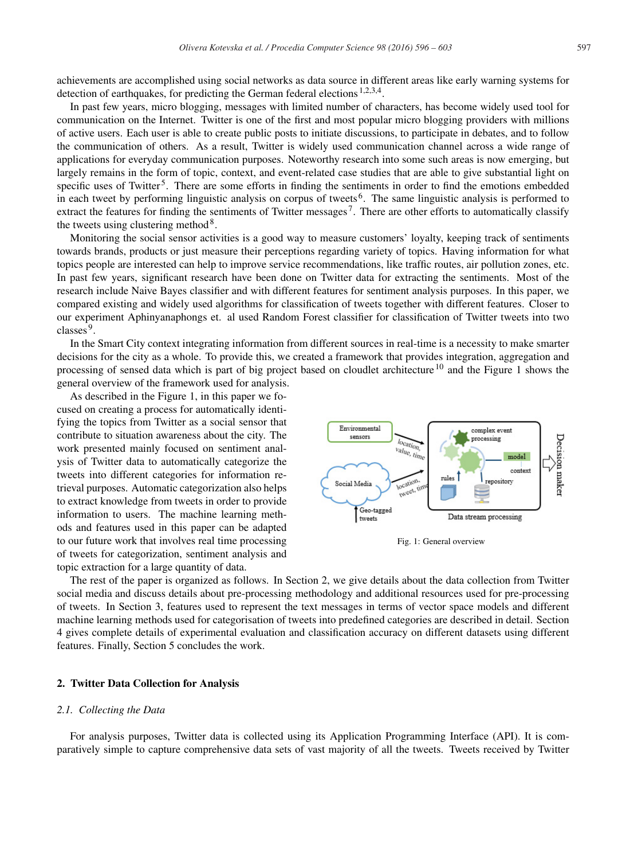achievements are accomplished using social networks as data source in different areas like early warning systems for detection of earthquakes, for predicting the German federal elections <sup>1,2,3,4</sup>.

In past few years, micro blogging, messages with limited number of characters, has become widely used tool for communication on the Internet. Twitter is one of the first and most popular micro blogging providers with millions of active users. Each user is able to create public posts to initiate discussions, to participate in debates, and to follow the communication of others. As a result, Twitter is widely used communication channel across a wide range of applications for everyday communication purposes. Noteworthy research into some such areas is now emerging, but largely remains in the form of topic, context, and event-related case studies that are able to give substantial light on specific uses of Twitter<sup>5</sup>. There are some efforts in finding the sentiments in order to find the emotions embedded in each tweet by performing linguistic analysis on corpus of tweets 6. The same linguistic analysis is performed to extract the features for finding the sentiments of Twitter messages<sup>7</sup>. There are other efforts to automatically classify the tweets using clustering method<sup>8</sup>.

Monitoring the social sensor activities is a good way to measure customers' loyalty, keeping track of sentiments towards brands, products or just measure their perceptions regarding variety of topics. Having information for what topics people are interested can help to improve service recommendations, like traffic routes, air pollution zones, etc. In past few years, significant research have been done on Twitter data for extracting the sentiments. Most of the research include Naive Bayes classifier and with different features for sentiment analysis purposes. In this paper, we compared existing and widely used algorithms for classification of tweets together with different features. Closer to our experiment Aphinyanaphongs et. al used Random Forest classifier for classification of Twitter tweets into two classes<sup>9</sup>.

In the Smart City context integrating information from different sources in real-time is a necessity to make smarter decisions for the city as a whole. To provide this, we created a framework that provides integration, aggregation and processing of sensed data which is part of big project based on cloudlet architecture <sup>10</sup> and the Figure 1 shows the general overview of the framework used for analysis.

As described in the Figure 1, in this paper we focused on creating a process for automatically identifying the topics from Twitter as a social sensor that contribute to situation awareness about the city. The work presented mainly focused on sentiment analysis of Twitter data to automatically categorize the tweets into different categories for information retrieval purposes. Automatic categorization also helps to extract knowledge from tweets in order to provide information to users. The machine learning methods and features used in this paper can be adapted to our future work that involves real time processing of tweets for categorization, sentiment analysis and topic extraction for a large quantity of data.



Fig. 1: General overview

The rest of the paper is organized as follows. In Section 2, we give details about the data collection from Twitter social media and discuss details about pre-processing methodology and additional resources used for pre-processing of tweets. In Section 3, features used to represent the text messages in terms of vector space models and different machine learning methods used for categorisation of tweets into predefined categories are described in detail. Section 4 gives complete details of experimental evaluation and classification accuracy on different datasets using different features. Finally, Section 5 concludes the work.

# 2. Twitter Data Collection for Analysis

#### *2.1. Collecting the Data*

For analysis purposes, Twitter data is collected using its Application Programming Interface (API). It is comparatively simple to capture comprehensive data sets of vast majority of all the tweets. Tweets received by Twitter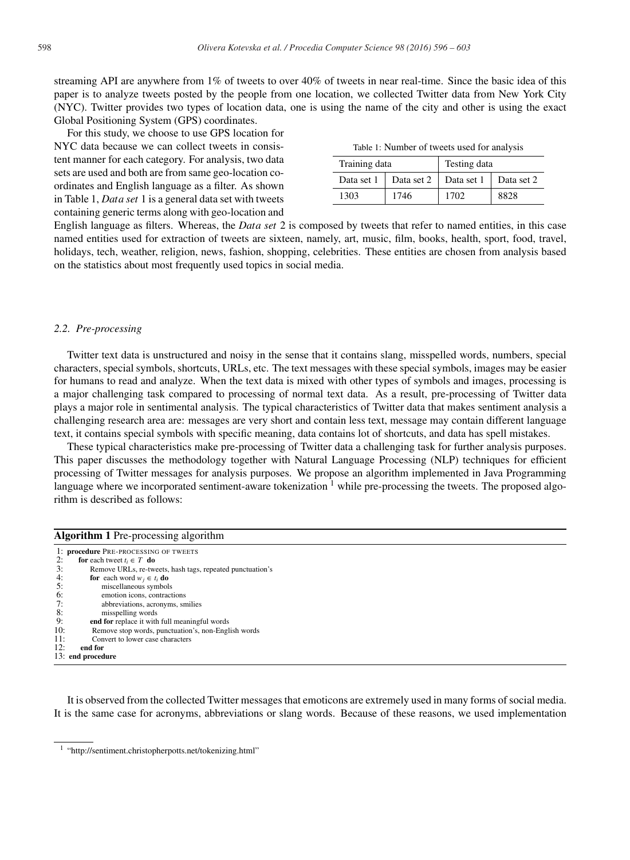streaming API are anywhere from 1% of tweets to over 40% of tweets in near real-time. Since the basic idea of this paper is to analyze tweets posted by the people from one location, we collected Twitter data from New York City (NYC). Twitter provides two types of location data, one is using the name of the city and other is using the exact Global Positioning System (GPS) coordinates.

For this study, we choose to use GPS location for NYC data because we can collect tweets in consistent manner for each category. For analysis, two data sets are used and both are from same geo-location coordinates and English language as a filter. As shown in Table 1, *Data set* 1 is a general data set with tweets containing generic terms along with geo-location and

| Table 1: Number of tweets used for analysis |  |
|---------------------------------------------|--|
|---------------------------------------------|--|

| Training data |            | Testing data |            |  |
|---------------|------------|--------------|------------|--|
| Data set 1    | Data set 2 | Data set 1   | Data set 2 |  |
| 1303          | 1746       | 1702         | 8828       |  |

English language as filters. Whereas, the *Data set* 2 is composed by tweets that refer to named entities, in this case named entities used for extraction of tweets are sixteen, namely, art, music, film, books, health, sport, food, travel, holidays, tech, weather, religion, news, fashion, shopping, celebrities. These entities are chosen from analysis based on the statistics about most frequently used topics in social media.

# *2.2. Pre-processing*

Twitter text data is unstructured and noisy in the sense that it contains slang, misspelled words, numbers, special characters, special symbols, shortcuts, URLs, etc. The text messages with these special symbols, images may be easier for humans to read and analyze. When the text data is mixed with other types of symbols and images, processing is a major challenging task compared to processing of normal text data. As a result, pre-processing of Twitter data plays a major role in sentimental analysis. The typical characteristics of Twitter data that makes sentiment analysis a challenging research area are: messages are very short and contain less text, message may contain different language text, it contains special symbols with specific meaning, data contains lot of shortcuts, and data has spell mistakes.

These typical characteristics make pre-processing of Twitter data a challenging task for further analysis purposes. This paper discusses the methodology together with Natural Language Processing (NLP) techniques for efficient processing of Twitter messages for analysis purposes. We propose an algorithm implemented in Java Programming language where we incorporated sentiment-aware tokenization  $<sup>1</sup>$  while pre-processing the tweets. The proposed algo-</sup> rithm is described as follows:

|     | <b>Algorithm 1</b> Pre-processing algorithm               |  |  |
|-----|-----------------------------------------------------------|--|--|
|     | 1: procedure PRE-PROCESSING OF TWEETS                     |  |  |
| 2:  | for each tweet $t_i \in T$ do                             |  |  |
| 3:  | Remove URLs, re-tweets, hash tags, repeated punctuation's |  |  |
| 4:  | <b>for</b> each word $w_i \in t_i$ <b>do</b>              |  |  |
| 5:  | miscellaneous symbols                                     |  |  |
| 6:  | emotion icons, contractions                               |  |  |
| 7:  | abbreviations, acronyms, smilies                          |  |  |
| 8:  | misspelling words                                         |  |  |
| 9:  | end for replace it with full meaningful words             |  |  |
| 10: | Remove stop words, punctuation's, non-English words       |  |  |
| 11: | Convert to lower case characters                          |  |  |
| 12: | end for                                                   |  |  |
|     | 13: end procedure                                         |  |  |
|     |                                                           |  |  |

It is observed from the collected Twitter messages that emoticons are extremely used in many forms of social media. It is the same case for acronyms, abbreviations or slang words. Because of these reasons, we used implementation

<sup>1</sup> "http://sentiment.christopherpotts.net/tokenizing.html"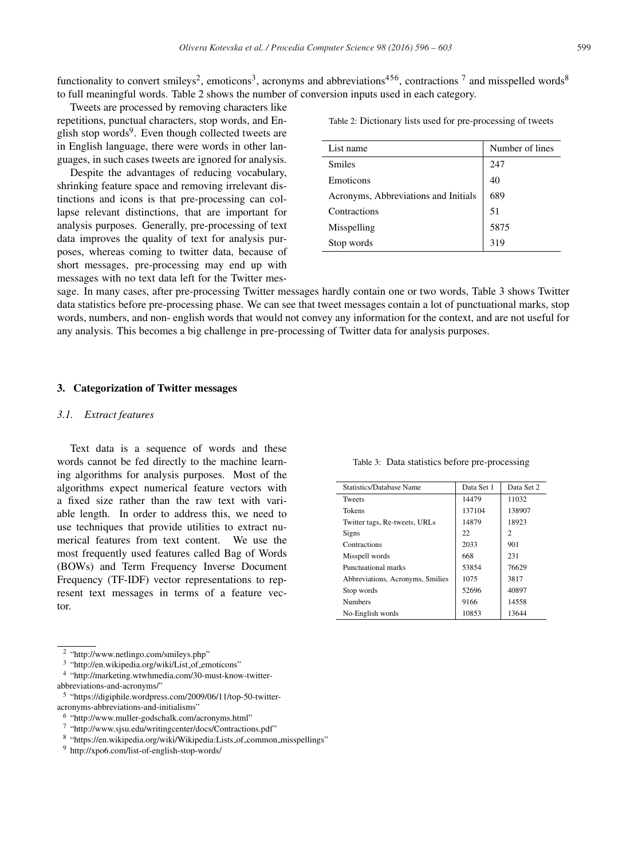functionality to convert smileys<sup>2</sup>, emoticons<sup>3</sup>, acronyms and abbreviations<sup>456</sup>, contractions <sup>7</sup> and misspelled words<sup>8</sup> to full meaningful words. Table 2 shows the number of conversion inputs used in each category.

Tweets are processed by removing characters like repetitions, punctual characters, stop words, and English stop words $9$ . Even though collected tweets are in English language, there were words in other languages, in such cases tweets are ignored for analysis.

Despite the advantages of reducing vocabulary, shrinking feature space and removing irrelevant distinctions and icons is that pre-processing can collapse relevant distinctions, that are important for analysis purposes. Generally, pre-processing of text data improves the quality of text for analysis purposes, whereas coming to twitter data, because of short messages, pre-processing may end up with messages with no text data left for the Twitter mesTable 2: Dictionary lists used for pre-processing of tweets

| List name                            | Number of lines |
|--------------------------------------|-----------------|
| <b>Smiles</b>                        | 247             |
| Emoticons                            | 40              |
| Acronyms, Abbreviations and Initials | 689             |
| Contractions                         | 51              |
| Misspelling                          | 5875            |
| Stop words                           | 319             |
|                                      |                 |

sage. In many cases, after pre-processing Twitter messages hardly contain one or two words, Table 3 shows Twitter data statistics before pre-processing phase. We can see that tweet messages contain a lot of punctuational marks, stop words, numbers, and non- english words that would not convey any information for the context, and are not useful for any analysis. This becomes a big challenge in pre-processing of Twitter data for analysis purposes.

# 3. Categorization of Twitter messages

#### *3.1. Extract features*

Text data is a sequence of words and these words cannot be fed directly to the machine learning algorithms for analysis purposes. Most of the algorithms expect numerical feature vectors with a fixed size rather than the raw text with variable length. In order to address this, we need to use techniques that provide utilities to extract numerical features from text content. We use the most frequently used features called Bag of Words (BOWs) and Term Frequency Inverse Document Frequency (TF-IDF) vector representations to represent text messages in terms of a feature vector.

abbreviations-and-acronyms/"



Table 3: Data statistics before pre-processing

<sup>2</sup> "http://www.netlingo.com/smileys.php"

<sup>&</sup>lt;sup>3</sup> "http://en.wikipedia.org/wiki/List\_of\_emoticons"

<sup>4</sup> "http://marketing.wtwhmedia.com/30-must-know-twitter-

<sup>5</sup> "https://digiphile.wordpress.com/2009/06/11/top-50-twitteracronyms-abbreviations-and-initialisms"

<sup>6</sup> "http://www.muller-godschalk.com/acronyms.html"

<sup>7</sup> "http://www.sjsu.edu/writingcenter/docs/Contractions.pdf"

<sup>8 &</sup>quot;https://en.wikipedia.org/wiki/Wikipedia:Lists\_of\_common\_misspellings"

<sup>9</sup> http://xpo6.com/list-of-english-stop-words/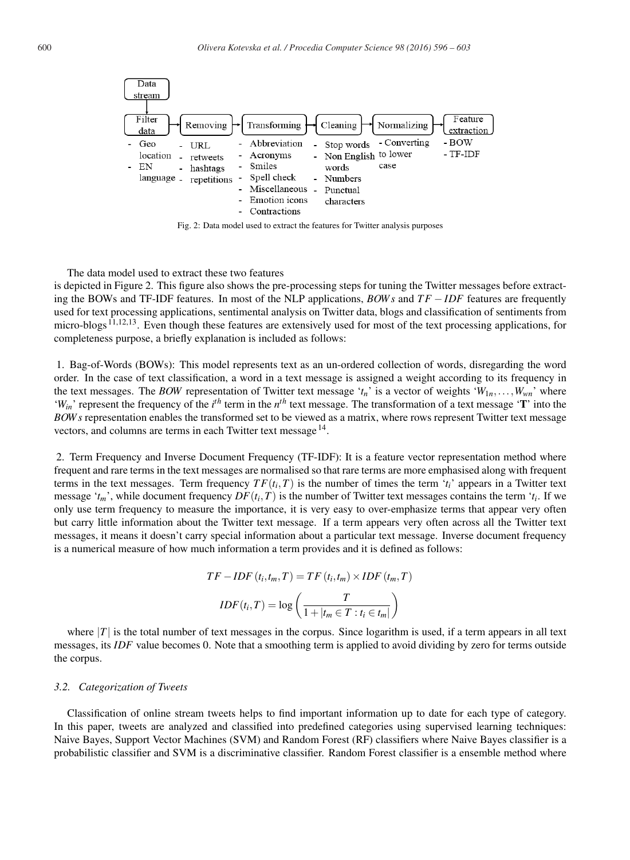

Fig. 2: Data model used to extract the features for Twitter analysis purposes

The data model used to extract these two features

is depicted in Figure 2. This figure also shows the pre-processing steps for tuning the Twitter messages before extracting the BOWs and TF-IDF features. In most of the NLP applications, *BOW s* and *T F* −*IDF* features are frequently used for text processing applications, sentimental analysis on Twitter data, blogs and classification of sentiments from micro-blogs <sup>11,12,13</sup>. Even though these features are extensively used for most of the text processing applications, for completeness purpose, a briefly explanation is included as follows:

1. Bag-of-Words (BOWs): This model represents text as an un-ordered collection of words, disregarding the word order. In the case of text classification, a word in a text message is assigned a weight according to its frequency in the text messages. The *BOW* representation of Twitter text message ' $t_n$ ' is a vector of weights ' $W_{1n}, \ldots, W_{wn}$ ' where '*W<sub>in</sub>*' represent the frequency of the  $i^h$  term in the  $n^h$  text message. The transformation of a text message '**T**' into the *BOW s* representation enables the transformed set to be viewed as a matrix, where rows represent Twitter text message vectors, and columns are terms in each Twitter text message 14.

2. Term Frequency and Inverse Document Frequency (TF-IDF): It is a feature vector representation method where frequent and rare terms in the text messages are normalised so that rare terms are more emphasised along with frequent terms in the text messages. Term frequency  $TF(t_i, T)$  is the number of times the term ' $t_i$ ' appears in a Twitter text message ' $t_m$ ', while document frequency  $DF(t_i, T)$  is the number of Twitter text messages contains the term ' $t_i$ . If we only use term frequency to measure the importance, it is very easy to over-emphasize terms that appear very often but carry little information about the Twitter text message. If a term appears very often across all the Twitter text messages, it means it doesn't carry special information about a particular text message. Inverse document frequency is a numerical measure of how much information a term provides and it is defined as follows:

$$
TF - IDF(t_i, t_m, T) = TF(t_i, t_m) \times IDF(t_m, T)
$$

$$
IDF(t_i, T) = \log \left( \frac{T}{1 + |t_m \in T : t_i \in t_m|} \right)
$$

where  $|T|$  is the total number of text messages in the corpus. Since logarithm is used, if a term appears in all text messages, its *IDF* value becomes 0. Note that a smoothing term is applied to avoid dividing by zero for terms outside the corpus.

#### *3.2. Categorization of Tweets*

Classification of online stream tweets helps to find important information up to date for each type of category. In this paper, tweets are analyzed and classified into predefined categories using supervised learning techniques: Naive Bayes, Support Vector Machines (SVM) and Random Forest (RF) classifiers where Naive Bayes classifier is a probabilistic classifier and SVM is a discriminative classifier. Random Forest classifier is a ensemble method where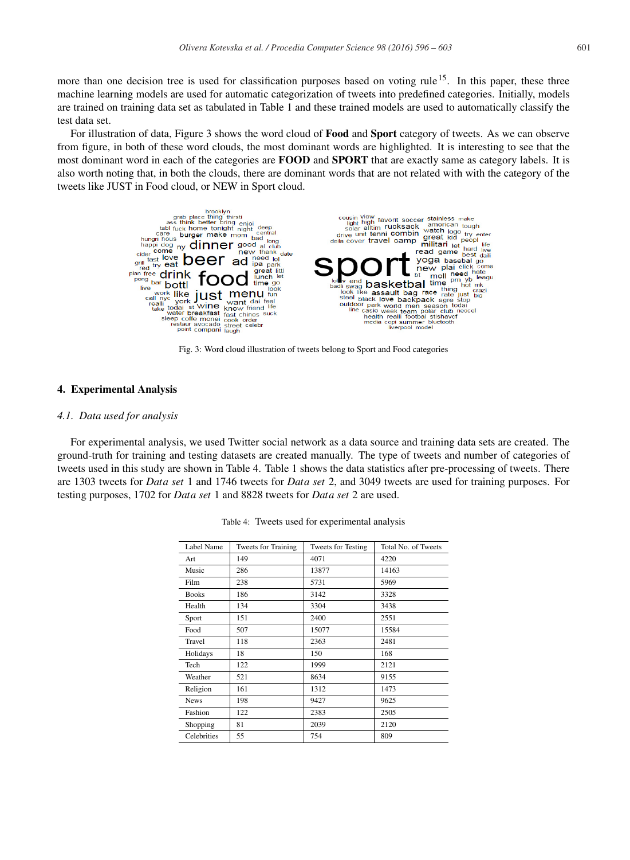more than one decision tree is used for classification purposes based on voting rule  $15$ . In this paper, these three machine learning models are used for automatic categorization of tweets into predefined categories. Initially, models are trained on training data set as tabulated in Table 1 and these trained models are used to automatically classify the test data set.

For illustration of data, Figure 3 shows the word cloud of **Food** and **Sport** category of tweets. As we can observe from figure, in both of these word clouds, the most dominant words are highlighted. It is interesting to see that the most dominant word in each of the categories are **FOOD** and **SPORT** that are exactly same as category labels. It is also worth noting that, in both the clouds, there are dominant words that are not related with with the category of the tweets like JUST in Food cloud, or NEW in Sport cloud.



Fig. 3: Word cloud illustration of tweets belong to Sport and Food categories

#### 4. Experimental Analysis

# *4.1. Data used for analysis*

For experimental analysis, we used Twitter social network as a data source and training data sets are created. The ground-truth for training and testing datasets are created manually. The type of tweets and number of categories of tweets used in this study are shown in Table 4. Table 1 shows the data statistics after pre-processing of tweets. There are 1303 tweets for *Data set* 1 and 1746 tweets for *Data set* 2, and 3049 tweets are used for training purposes. For testing purposes, 1702 for *Data set* 1 and 8828 tweets for *Data set* 2 are used.

| Label Name   | <b>Tweets for Training</b> | <b>Tweets for Testing</b> | Total No. of Tweets |
|--------------|----------------------------|---------------------------|---------------------|
| Art          | 149                        | 4071                      | 4220                |
| Music        | 286                        | 13877                     | 14163               |
| Film         | 238                        | 5731                      | 5969                |
| <b>Books</b> | 186                        | 3142                      | 3328                |
| Health       | 134                        | 3304                      | 3438                |
| Sport        | 151                        | 2400                      | 2551                |
| Food         | 507                        | 15077                     | 15584               |
| Travel       | 118                        | 2363                      | 2481                |
| Holidays     | 18                         | 150                       | 168                 |
| Tech         | 122                        | 1999                      | 2121                |
| Weather      | 521                        | 8634                      | 9155                |
| Religion     | 161                        | 1312                      | 1473                |
| <b>News</b>  | 198                        | 9427                      | 9625                |
| Fashion      | 122                        | 2383                      | 2505                |
| Shopping     | 81                         | 2039                      | 2120                |
| Celebrities  | 55                         | 754                       | 809                 |

Table 4: Tweets used for experimental analysis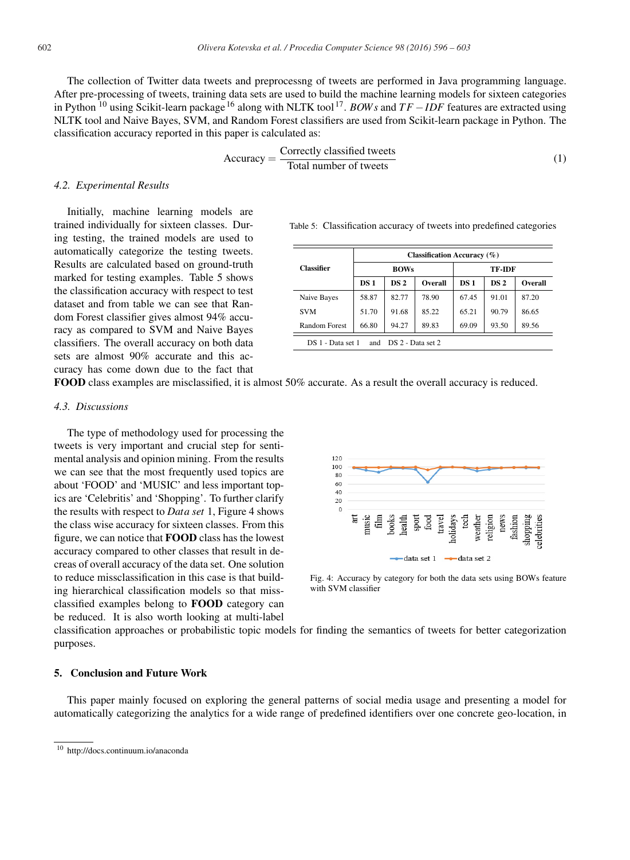The collection of Twitter data tweets and preprocessng of tweets are performed in Java programming language. After pre-processing of tweets, training data sets are used to build the machine learning models for sixteen categories in Python <sup>10</sup> using Scikit-learn package <sup>16</sup> along with NLTK tool 17. *BOW s* and *T F* −*IDF* features are extracted using NLTK tool and Naive Bayes, SVM, and Random Forest classifiers are used from Scikit-learn package in Python. The classification accuracy reported in this paper is calculated as:

$$
Accuracy = \frac{Correctly classified tweets}{Total number of tweets}
$$
 (1)

#### *4.2. Experimental Results*

Initially, machine learning models are trained individually for sixteen classes. During testing, the trained models are used to automatically categorize the testing tweets. Results are calculated based on ground-truth marked for testing examples. Table 5 shows the classification accuracy with respect to test dataset and from table we can see that Random Forest classifier gives almost 94% accuracy as compared to SVM and Naive Bayes classifiers. The overall accuracy on both data sets are almost 90% accurate and this accuracy has come down due to the fact that

Table 5: Classification accuracy of tweets into predefined categories

|                                            | Classification Accuracy $(\%)$ |                 |         |       |                 |         |
|--------------------------------------------|--------------------------------|-----------------|---------|-------|-----------------|---------|
| <b>Classifier</b>                          | <b>BOWs</b>                    |                 | TF-IDF  |       |                 |         |
|                                            | DS 1                           | DS <sub>2</sub> | Overall | DS 1  | DS <sub>2</sub> | Overall |
| Naive Bayes                                | 58.87                          | 82.77           | 78.90   | 67.45 | 91.01           | 87.20   |
| <b>SVM</b>                                 | 51.70                          | 91.68           | 85.22   | 65.21 | 90.79           | 86.65   |
| Random Forest                              | 66.80                          | 94.27           | 89.83   | 69.09 | 93.50           | 89.56   |
| and DS 2 - Data set 2<br>DS 1 - Data set 1 |                                |                 |         |       |                 |         |

FOOD class examples are misclassified, it is almost 50% accurate. As a result the overall accuracy is reduced.

# *4.3. Discussions*

The type of methodology used for processing the tweets is very important and crucial step for sentimental analysis and opinion mining. From the results we can see that the most frequently used topics are about 'FOOD' and 'MUSIC' and less important topics are 'Celebritis' and 'Shopping'. To further clarify the results with respect to *Data set* 1, Figure 4 shows the class wise accuracy for sixteen classes. From this figure, we can notice that FOOD class has the lowest accuracy compared to other classes that result in decreas of overall accuracy of the data set. One solution to reduce missclassification in this case is that building hierarchical classification models so that missclassified examples belong to FOOD category can be reduced. It is also worth looking at multi-label



Fig. 4: Accuracy by category for both the data sets using BOWs feature with SVM classifier

classification approaches or probabilistic topic models for finding the semantics of tweets for better categorization purposes.

# 5. Conclusion and Future Work

This paper mainly focused on exploring the general patterns of social media usage and presenting a model for automatically categorizing the analytics for a wide range of predefined identifiers over one concrete geo-location, in

<sup>10</sup> http://docs.continuum.io/anaconda